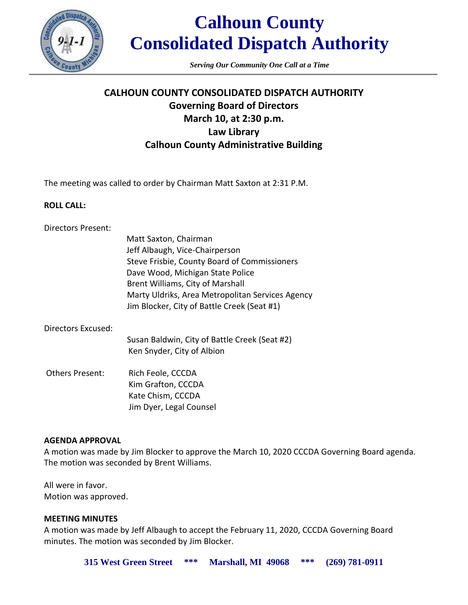

# **Calhoun County Consolidated Dispatch Authority**

*Serving Our Community One Call at a Time*

# **CALHOUN COUNTY CONSOLIDATED DISPATCH AUTHORITY Governing Board of Directors March 10, at 2:30 p.m. Law Library Calhoun County Administrative Building**

The meeting was called to order by Chairman Matt Saxton at 2:31 P.M.

#### **ROLL CALL:**

|                        | Matt Saxton, Chairman<br>Jeff Albaugh, Vice-Chairperson<br>Steve Frisbie, County Board of Commissioners<br>Dave Wood, Michigan State Police<br>Brent Williams, City of Marshall<br>Marty Uldriks, Area Metropolitan Services Agency<br>Jim Blocker, City of Battle Creek (Seat #1) |
|------------------------|------------------------------------------------------------------------------------------------------------------------------------------------------------------------------------------------------------------------------------------------------------------------------------|
| Directors Excused:     |                                                                                                                                                                                                                                                                                    |
|                        | Susan Baldwin, City of Battle Creek (Seat #2)<br>Ken Snyder, City of Albion                                                                                                                                                                                                        |
| <b>Others Present:</b> | Rich Feole, CCCDA<br>Kim Grafton, CCCDA                                                                                                                                                                                                                                            |

Kim Grafton, CCCDA Kate Chism, CCCDA Jim Dyer, Legal Counsel

# **AGENDA APPROVAL**

A motion was made by Jim Blocker to approve the March 10, 2020 CCCDA Governing Board agenda. The motion was seconded by Brent Williams.

All were in favor. Motion was approved.

# **MEETING MINUTES**

A motion was made by Jeff Albaugh to accept the February 11, 2020, CCCDA Governing Board minutes. The motion was seconded by Jim Blocker.

**315 West Green Street \*\*\* Marshall, MI 49068 \*\*\* (269) 781-0911**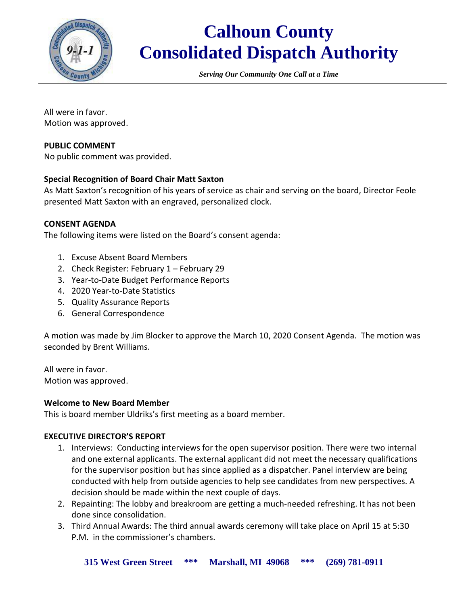

# **Calhoun County Consolidated Dispatch Authority**

*Serving Our Community One Call at a Time*

All were in favor. Motion was approved.

### **PUBLIC COMMENT**

No public comment was provided.

#### **Special Recognition of Board Chair Matt Saxton**

As Matt Saxton's recognition of his years of service as chair and serving on the board, Director Feole presented Matt Saxton with an engraved, personalized clock.

#### **CONSENT AGENDA**

The following items were listed on the Board's consent agenda:

- 1. Excuse Absent Board Members
- 2. Check Register: February 1 February 29
- 3. Year-to-Date Budget Performance Reports
- 4. 2020 Year-to-Date Statistics
- 5. Quality Assurance Reports
- 6. General Correspondence

A motion was made by Jim Blocker to approve the March 10, 2020 Consent Agenda. The motion was seconded by Brent Williams.

All were in favor. Motion was approved.

#### **Welcome to New Board Member**

This is board member Uldriks's first meeting as a board member.

# **EXECUTIVE DIRECTOR'S REPORT**

- 1. Interviews: Conducting interviews for the open supervisor position. There were two internal and one external applicants. The external applicant did not meet the necessary qualifications for the supervisor position but has since applied as a dispatcher. Panel interview are being conducted with help from outside agencies to help see candidates from new perspectives. A decision should be made within the next couple of days.
- 2. Repainting: The lobby and breakroom are getting a much-needed refreshing. It has not been done since consolidation.
- 3. Third Annual Awards: The third annual awards ceremony will take place on April 15 at 5:30 P.M. in the commissioner's chambers.